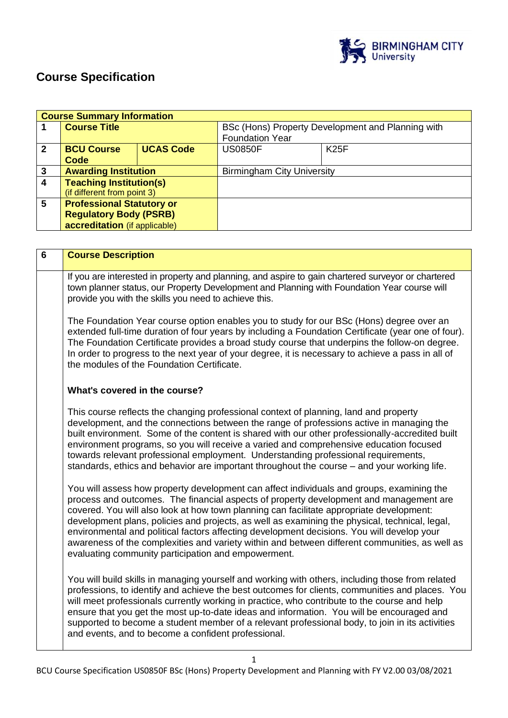

# **Course Specification**

| <b>Course Summary Information</b> |                                  |                  |                                                   |             |
|-----------------------------------|----------------------------------|------------------|---------------------------------------------------|-------------|
|                                   | <b>Course Title</b>              |                  | BSc (Hons) Property Development and Planning with |             |
|                                   |                                  |                  | <b>Foundation Year</b>                            |             |
| $\mathbf 2$                       | <b>BCU Course</b>                | <b>UCAS Code</b> | <b>US0850F</b>                                    | <b>K25F</b> |
|                                   | Code                             |                  |                                                   |             |
| 3                                 | <b>Awarding Institution</b>      |                  | <b>Birmingham City University</b>                 |             |
| 4                                 | <b>Teaching Institution(s)</b>   |                  |                                                   |             |
|                                   | (if different from point 3)      |                  |                                                   |             |
| 5                                 | <b>Professional Statutory or</b> |                  |                                                   |             |
|                                   | <b>Regulatory Body (PSRB)</b>    |                  |                                                   |             |
|                                   | accreditation (if applicable)    |                  |                                                   |             |

| $6\phantom{1}6$ | <b>Course Description</b>                                                                                                                                                                                                                                                                                                                                                                                                                                                                                                                                                                                                                |
|-----------------|------------------------------------------------------------------------------------------------------------------------------------------------------------------------------------------------------------------------------------------------------------------------------------------------------------------------------------------------------------------------------------------------------------------------------------------------------------------------------------------------------------------------------------------------------------------------------------------------------------------------------------------|
|                 | If you are interested in property and planning, and aspire to gain chartered surveyor or chartered<br>town planner status, our Property Development and Planning with Foundation Year course will<br>provide you with the skills you need to achieve this.                                                                                                                                                                                                                                                                                                                                                                               |
|                 | The Foundation Year course option enables you to study for our BSc (Hons) degree over an<br>extended full-time duration of four years by including a Foundation Certificate (year one of four).<br>The Foundation Certificate provides a broad study course that underpins the follow-on degree.<br>In order to progress to the next year of your degree, it is necessary to achieve a pass in all of<br>the modules of the Foundation Certificate.                                                                                                                                                                                      |
|                 | What's covered in the course?                                                                                                                                                                                                                                                                                                                                                                                                                                                                                                                                                                                                            |
|                 | This course reflects the changing professional context of planning, land and property<br>development, and the connections between the range of professions active in managing the<br>built environment. Some of the content is shared with our other professionally-accredited built<br>environment programs, so you will receive a varied and comprehensive education focused<br>towards relevant professional employment. Understanding professional requirements,<br>standards, ethics and behavior are important throughout the course – and your working life.                                                                      |
|                 | You will assess how property development can affect individuals and groups, examining the<br>process and outcomes. The financial aspects of property development and management are<br>covered. You will also look at how town planning can facilitate appropriate development:<br>development plans, policies and projects, as well as examining the physical, technical, legal,<br>environmental and political factors affecting development decisions. You will develop your<br>awareness of the complexities and variety within and between different communities, as well as<br>evaluating community participation and empowerment. |
|                 | You will build skills in managing yourself and working with others, including those from related<br>professions, to identify and achieve the best outcomes for clients, communities and places. You<br>will meet professionals currently working in practice, who contribute to the course and help<br>ensure that you get the most up-to-date ideas and information. You will be encouraged and<br>supported to become a student member of a relevant professional body, to join in its activities<br>and events, and to become a confident professional.                                                                               |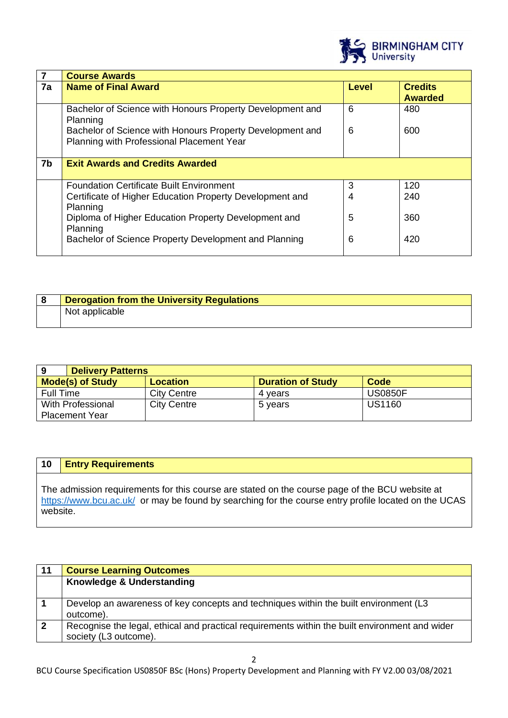

| 7              | <b>Course Awards</b>                                                                                   |       |                                  |
|----------------|--------------------------------------------------------------------------------------------------------|-------|----------------------------------|
| 7a             | <b>Name of Final Award</b>                                                                             | Level | <b>Credits</b><br><b>Awarded</b> |
|                | Bachelor of Science with Honours Property Development and<br>Planning                                  | 6     | 480                              |
|                | Bachelor of Science with Honours Property Development and<br>Planning with Professional Placement Year | 6     | 600                              |
| 7 <sub>b</sub> | <b>Exit Awards and Credits Awarded</b>                                                                 |       |                                  |
|                | <b>Foundation Certificate Built Environment</b>                                                        | 3     | 120                              |
|                | Certificate of Higher Education Property Development and<br>Planning                                   | 4     | 240                              |
|                | Diploma of Higher Education Property Development and<br>Planning                                       | 5     | 360                              |
|                | Bachelor of Science Property Development and Planning                                                  | 6     | 420                              |

| <b>Derogation from the University Regulations</b> |  |
|---------------------------------------------------|--|
| Not applicable                                    |  |

|                         | <b>Delivery Patterns</b> |                          |                |
|-------------------------|--------------------------|--------------------------|----------------|
| <b>Mode(s) of Study</b> | <b>Location</b>          | <b>Duration of Study</b> | Code           |
| Full Time               | <b>City Centre</b>       | 4 vears                  | <b>US0850F</b> |
| With Professional       | <b>City Centre</b>       | 5 years                  | US1160         |
| <b>Placement Year</b>   |                          |                          |                |

## **10 Entry Requirements**

The admission requirements for this course are stated on the course page of the BCU website at <https://www.bcu.ac.uk/>or may be found by searching for the course entry profile located on the UCAS website.

| 11             | <b>Course Learning Outcomes</b>                                                                |
|----------------|------------------------------------------------------------------------------------------------|
|                | Knowledge & Understanding                                                                      |
|                |                                                                                                |
|                | Develop an awareness of key concepts and techniques within the built environment (L3           |
|                | outcome).                                                                                      |
| $\overline{2}$ | Recognise the legal, ethical and practical requirements within the built environment and wider |
|                | society (L3 outcome).                                                                          |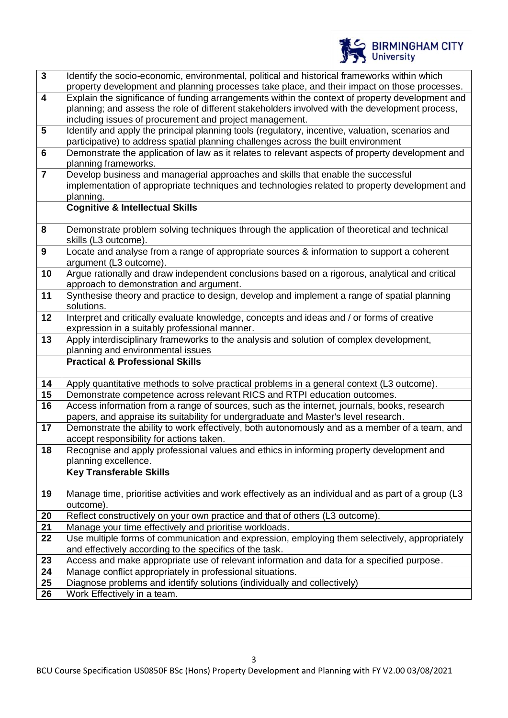

| $\overline{\mathbf{3}}$ | Identify the socio-economic, environmental, political and historical frameworks within which                     |
|-------------------------|------------------------------------------------------------------------------------------------------------------|
|                         | property development and planning processes take place, and their impact on those processes.                     |
| $\overline{4}$          | Explain the significance of funding arrangements within the context of property development and                  |
|                         | planning; and assess the role of different stakeholders involved with the development process,                   |
|                         | including issues of procurement and project management.                                                          |
| $5\phantom{.0}$         | Identify and apply the principal planning tools (regulatory, incentive, valuation, scenarios and                 |
|                         | participative) to address spatial planning challenges across the built environment                               |
| $6\phantom{1}6$         | Demonstrate the application of law as it relates to relevant aspects of property development and                 |
|                         | planning frameworks.                                                                                             |
| $\overline{\mathbf{7}}$ | Develop business and managerial approaches and skills that enable the successful                                 |
|                         | implementation of appropriate techniques and technologies related to property development and                    |
|                         | planning.                                                                                                        |
|                         | <b>Cognitive &amp; Intellectual Skills</b>                                                                       |
| 8                       | Demonstrate problem solving techniques through the application of theoretical and technical                      |
|                         | skills (L3 outcome).                                                                                             |
| 9                       | Locate and analyse from a range of appropriate sources & information to support a coherent                       |
|                         | argument (L3 outcome).                                                                                           |
| 10                      | Argue rationally and draw independent conclusions based on a rigorous, analytical and critical                   |
|                         | approach to demonstration and argument.                                                                          |
| 11                      | Synthesise theory and practice to design, develop and implement a range of spatial planning                      |
|                         | solutions.                                                                                                       |
| 12                      | Interpret and critically evaluate knowledge, concepts and ideas and / or forms of creative                       |
|                         | expression in a suitably professional manner.                                                                    |
| 13                      | Apply interdisciplinary frameworks to the analysis and solution of complex development,                          |
|                         |                                                                                                                  |
|                         | planning and environmental issues                                                                                |
|                         | <b>Practical &amp; Professional Skills</b>                                                                       |
| 14                      | Apply quantitative methods to solve practical problems in a general context (L3 outcome).                        |
| 15                      | Demonstrate competence across relevant RICS and RTPI education outcomes.                                         |
| 16                      | Access information from a range of sources, such as the internet, journals, books, research                      |
|                         | papers, and appraise its suitability for undergraduate and Master's level research.                              |
| 17                      | Demonstrate the ability to work effectively, both autonomously and as a member of a team, and                    |
|                         | accept responsibility for actions taken.                                                                         |
| 18                      | Recognise and apply professional values and ethics in informing property development and                         |
|                         | planning excellence.                                                                                             |
|                         | <b>Key Transferable Skills</b>                                                                                   |
| 19                      |                                                                                                                  |
|                         | Manage time, prioritise activities and work effectively as an individual and as part of a group (L3<br>outcome). |
| 20                      | Reflect constructively on your own practice and that of others (L3 outcome).                                     |
| 21                      | Manage your time effectively and prioritise workloads.                                                           |
| 22                      | Use multiple forms of communication and expression, employing them selectively, appropriately                    |
|                         | and effectively according to the specifics of the task.                                                          |
| 23                      | Access and make appropriate use of relevant information and data for a specified purpose.                        |
| 24                      | Manage conflict appropriately in professional situations.                                                        |
| 25<br>26                | Diagnose problems and identify solutions (individually and collectively)<br>Work Effectively in a team.          |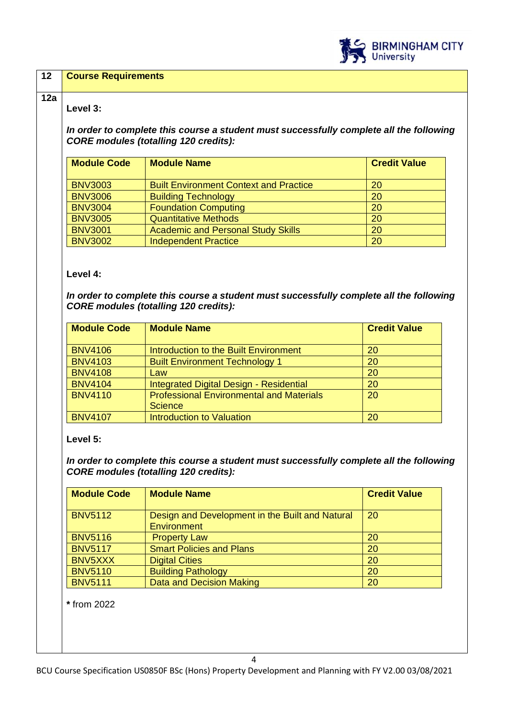

| Level 3:                                                                                                                                |                                                                                                                                                               |                     |
|-----------------------------------------------------------------------------------------------------------------------------------------|---------------------------------------------------------------------------------------------------------------------------------------------------------------|---------------------|
| In order to complete this course a student must successfully complete all the following<br><b>CORE modules (totalling 120 credits):</b> |                                                                                                                                                               |                     |
| <b>Module Code</b>                                                                                                                      | <b>Module Name</b>                                                                                                                                            | <b>Credit Value</b> |
| <b>BNV3003</b>                                                                                                                          | <b>Built Environment Context and Practice</b>                                                                                                                 | 20                  |
| <b>BNV3006</b>                                                                                                                          | <b>Building Technology</b>                                                                                                                                    | 20                  |
| <b>BNV3004</b>                                                                                                                          | <b>Foundation Computing</b>                                                                                                                                   | 20                  |
| <b>BNV3005</b>                                                                                                                          | <b>Quantitative Methods</b>                                                                                                                                   | 20                  |
| <b>BNV3001</b>                                                                                                                          | <b>Academic and Personal Study Skills</b>                                                                                                                     | 20                  |
| <b>BNV3002</b>                                                                                                                          | <b>Independent Practice</b>                                                                                                                                   | 20                  |
| <b>Module Code</b>                                                                                                                      | <b>Module Name</b>                                                                                                                                            | <b>Credit Value</b> |
| <b>BNV4106</b>                                                                                                                          | <b>Introduction to the Built Environment</b>                                                                                                                  | 20                  |
|                                                                                                                                         |                                                                                                                                                               |                     |
| <b>BNV4103</b>                                                                                                                          | <b>Built Environment Technology 1</b>                                                                                                                         | 20                  |
| <b>BNV4108</b>                                                                                                                          | Law                                                                                                                                                           | 20                  |
| <b>BNV4104</b>                                                                                                                          | <b>Integrated Digital Design - Residential</b>                                                                                                                | 20                  |
| <b>BNV4110</b>                                                                                                                          | <b>Professional Environmental and Materials</b><br><b>Science</b>                                                                                             | 20                  |
| <b>BNV4107</b>                                                                                                                          | <b>Introduction to Valuation</b>                                                                                                                              | 20                  |
| Level 5:<br><b>Module Code</b>                                                                                                          | In order to complete this course a student must successfully complete all the following<br><b>CORE modules (totalling 120 credits):</b><br><b>Module Name</b> | <b>Credit Value</b> |
| <b>BNV5112</b>                                                                                                                          | Design and Development in the Built and Natural                                                                                                               | 20                  |
|                                                                                                                                         | <b>Environment</b>                                                                                                                                            |                     |
| <b>BNV5116</b>                                                                                                                          | <b>Property Law</b>                                                                                                                                           | 20                  |
| <b>BNV5117</b>                                                                                                                          | <b>Smart Policies and Plans</b>                                                                                                                               | 20                  |
| BNV5XXX                                                                                                                                 | <b>Digital Cities</b>                                                                                                                                         | 20                  |
| <b>BNV5110</b><br><b>BNV5111</b>                                                                                                        | <b>Building Pathology</b><br><b>Data and Decision Making</b>                                                                                                  | 20<br>20            |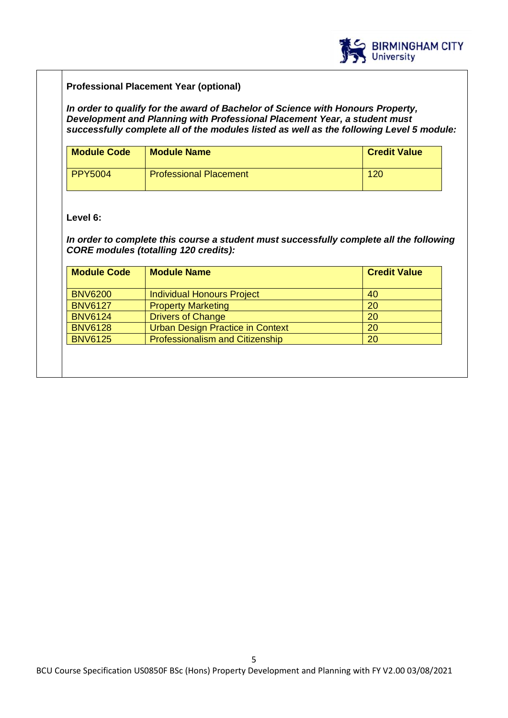

## **Professional Placement Year (optional)**

*In order to qualify for the award of Bachelor of Science with Honours Property, Development and Planning with Professional Placement Year, a student must successfully complete all of the modules listed as well as the following Level 5 module:*

| <b>Module Code</b> | <b>Module Name</b>            | <b>Credit Value</b> |
|--------------------|-------------------------------|---------------------|
| <b>PPY5004</b>     | <b>Professional Placement</b> | 120                 |

## **Level 6:**

## *In order to complete this course a student must successfully complete all the following CORE modules (totalling 120 credits):*

| <b>Module Code</b> | <b>Module Name</b>                      | <b>Credit Value</b> |
|--------------------|-----------------------------------------|---------------------|
| <b>BNV6200</b>     | <b>Individual Honours Project</b>       | 40                  |
| <b>BNV6127</b>     | <b>Property Marketing</b>               | 20                  |
| <b>BNV6124</b>     | <b>Drivers of Change</b>                | 20                  |
| <b>BNV6128</b>     | <b>Urban Design Practice in Context</b> | 20                  |
| <b>BNV6125</b>     | <b>Professionalism and Citizenship</b>  | 20                  |
|                    |                                         |                     |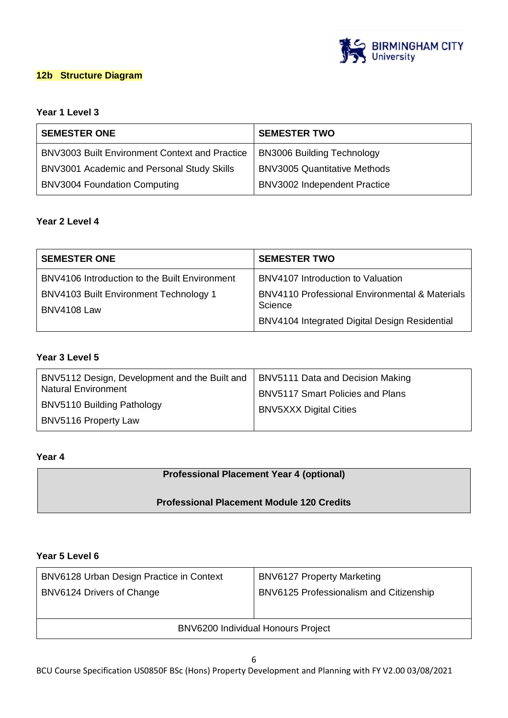

## **12b Structure Diagram**

## **Year 1 Level 3**

| <b>SEMESTER ONE</b>                                   | <b>SEMESTER TWO</b>                 |
|-------------------------------------------------------|-------------------------------------|
| <b>BNV3003 Built Environment Context and Practice</b> | <b>BN3006 Building Technology</b>   |
| BNV3001 Academic and Personal Study Skills            | <b>BNV3005 Quantitative Methods</b> |
| <b>BNV3004 Foundation Computing</b>                   | <b>BNV3002 Independent Practice</b> |

## **Year 2 Level 4**

| <b>SEMESTER ONE</b>                           | <b>SEMESTER TWO</b>                                       |
|-----------------------------------------------|-----------------------------------------------------------|
| BNV4106 Introduction to the Built Environment | BNV4107 Introduction to Valuation                         |
| <b>BNV4103 Built Environment Technology 1</b> | <b>BNV4110 Professional Environmental &amp; Materials</b> |
| <b>BNV4108 Law</b>                            | Science                                                   |
|                                               | BNV4104 Integrated Digital Design Residential             |

## **Year 3 Level 5**

| BNV5112 Design, Development and the Built and | BNV5111 Data and Decision Making        |
|-----------------------------------------------|-----------------------------------------|
| <b>Natural Environment</b>                    | <b>BNV5117 Smart Policies and Plans</b> |
| BNV5110 Building Pathology                    | <b>BNV5XXX Digital Cities</b>           |
| BNV5116 Property Law                          |                                         |

## **Year 4**

## **Professional Placement Year 4 (optional)**

## **Professional Placement Module 120 Credits**

## **Year 5 Level 6**

| BNV6128 Urban Design Practice in Context  | <b>BNV6127 Property Marketing</b>       |
|-------------------------------------------|-----------------------------------------|
| BNV6124 Drivers of Change                 | BNV6125 Professionalism and Citizenship |
|                                           |                                         |
| <b>BNV6200 Individual Honours Project</b> |                                         |

BCU Course Specification US0850F BSc (Hons) Property Development and Planning with FY V2.00 03/08/2021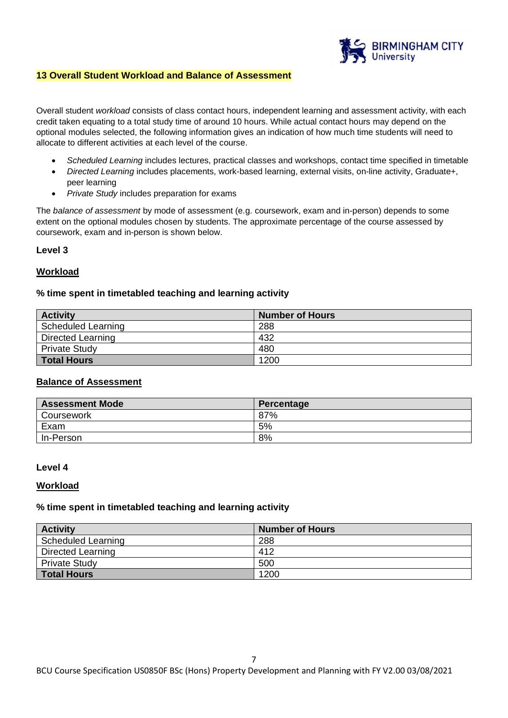

## **13 Overall Student Workload and Balance of Assessment**

Overall student *workload* consists of class contact hours, independent learning and assessment activity, with each credit taken equating to a total study time of around 10 hours. While actual contact hours may depend on the optional modules selected, the following information gives an indication of how much time students will need to allocate to different activities at each level of the course.

- *Scheduled Learning* includes lectures, practical classes and workshops, contact time specified in timetable
- *Directed Learning* includes placements, work-based learning, external visits, on-line activity, Graduate+, peer learning
- *Private Study* includes preparation for exams

The *balance of assessment* by mode of assessment (e.g. coursework, exam and in-person) depends to some extent on the optional modules chosen by students. The approximate percentage of the course assessed by coursework, exam and in-person is shown below.

#### **Level 3**

#### **Workload**

#### **% time spent in timetabled teaching and learning activity**

| <b>Activity</b>      | <b>Number of Hours</b> |
|----------------------|------------------------|
| Scheduled Learning   | 288                    |
| Directed Learning    | 432                    |
| <b>Private Study</b> | 480                    |
| <b>Total Hours</b>   | 1200                   |

#### **Balance of Assessment**

| <b>Assessment Mode</b> | Percentage |
|------------------------|------------|
| Coursework             | 87%        |
| Exam                   | 5%         |
| In-Person              | 8%         |

#### **Level 4**

#### **Workload**

#### **% time spent in timetabled teaching and learning activity**

| <b>Activity</b>      | Number of Hours |
|----------------------|-----------------|
| Scheduled Learning   | 288             |
| Directed Learning    | 412             |
| <b>Private Study</b> | 500             |
| Total Hours          | 1200            |